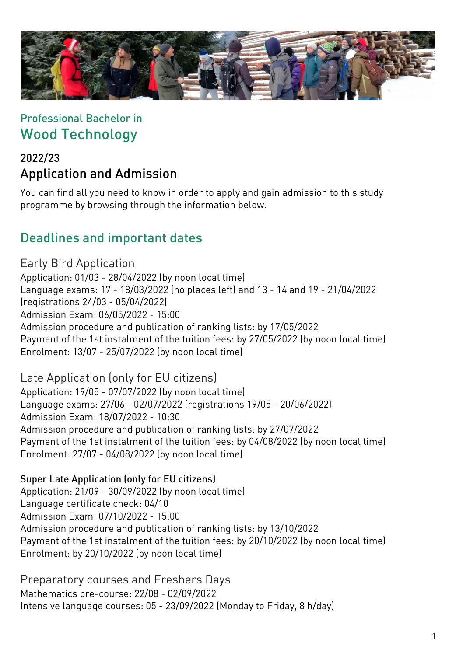

## Professional Bachelor in Wood Technology

## 2022/23 Application and Admission

You can find all you need to know in order to apply and gain admission to this study programme by browsing through the information below.

## Deadlines and important dates

Early Bird Application Application: 01/03 - 28/04/2022 (by noon local time) Language exams: 17 - 18/03/2022 (no places left) and 13 - 14 and 19 - 21/04/2022 (registrations 24/03 - 05/04/2022) Admission Exam: 06/05/2022 - 15:00 Admission procedure and publication of ranking lists: by 17/05/2022 Payment of the 1st instalment of the tuition fees: by 27/05/2022 (by noon local time) Enrolment: 13/07 - 25/07/2022 (by noon local time)

Late Application (only for EU citizens) Application: 19/05 - 07/07/2022 (by noon local time) Language exams: 27/06 - 02/07/2022 (registrations 19/05 - 20/06/2022) Admission Exam: 18/07/2022 - 10:30 Admission procedure and publication of ranking lists: by 27/07/2022 Payment of the 1st instalment of the tuition fees: by 04/08/2022 (by noon local time) Enrolment: 27/07 - 04/08/2022 (by noon local time)

#### Super Late Application (only for EU citizens)

Application: 21/09 - 30/09/2022 (by noon local time) Language certificate check: 04/10 Admission Exam: 07/10/2022 - 15:00 Admission procedure and publication of ranking lists: by 13/10/2022 Payment of the 1st instalment of the tuition fees: by 20/10/2022 (by noon local time) Enrolment: by 20/10/2022 (by noon local time)

Preparatory courses and Freshers Days Mathematics pre-course: 22/08 - 02/09/2022 Intensive language courses: 05 - 23/09/2022 (Monday to Friday, 8 h/day)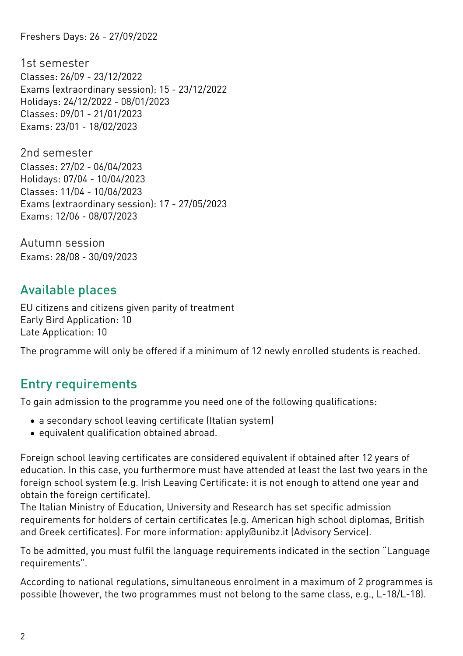Freshers Days: 26 - 27/09/2022

1st semester Classes: 26/09 - 23/12/2022 Exams (extraordinary session): 15 - 23/12/2022 Holidays: 24/12/2022 - 08/01/2023 Classes: 09/01 - 21/01/2023 Exams: 23/01 - 18/02/2023

2nd semester Classes: 27/02 - 06/04/2023 Holidays: 07/04 - 10/04/2023 Classes: 11/04 - 10/06/2023 Exams (extraordinary session): 17 - 27/05/2023 Exams: 12/06 - 08/07/2023

Autumn session Exams: 28/08 - 30/09/2023

## Available places

EU citizens and citizens given parity of treatment Early Bird Application: 10 Late Application: 10

The programme will only be offered if a minimum of 12 newly enrolled students is reached.

# Entry requirements

To gain admission to the programme you need one of the following qualifications:

- a secondary school leaving certificate (Italian system)
- equivalent qualification obtained abroad.

Foreign school leaving certificates are considered equivalent if obtained after 12 years of education. In this case, you furthermore must have attended at least the last two years in the foreign school system (e.g. Irish Leaving Certificate: it is not enough to attend one year and obtain the foreign certificate).

The Italian Ministry of Education, University and Research has set specific admission requirements for holders of certain certificates (e.g. American high school diplomas, British and Greek certificates). For more information: [apply@unibz.it](mailto:apply@unibz.it) (Advisory Service).

To be admitted, you must fulfil the language requirements indicated in the section "Language requirements".

According to national regulations, simultaneous enrolment in a maximum of 2 programmes is possible (however, the two programmes must not belong to the same class, e.g., L-18/L-18).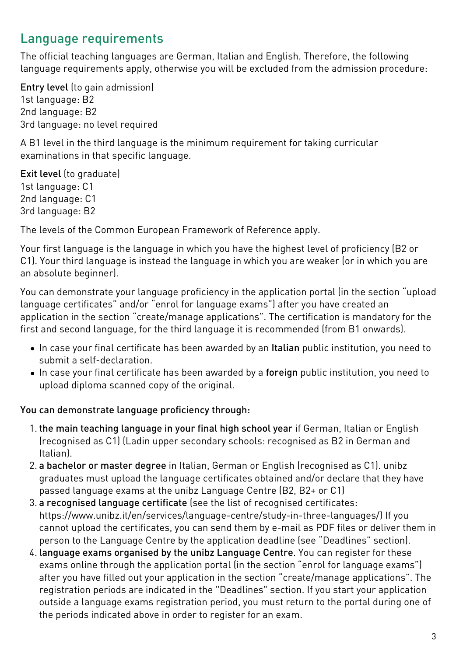# Language requirements

The official teaching languages are German, Italian and English. Therefore, the following language requirements apply, otherwise you will be excluded from the admission procedure:

Entry level (to gain admission) 1st language: B2 2nd language: B2 3rd language: no level required

A B1 level in the third language is the minimum requirement for taking curricular examinations in that specific language.

Exit level (to graduate) 1st language: C1 2nd language: C1 3rd language: B2

The levels of the Common European Framework of Reference apply.

Your first language is the language in which you have the highest level of proficiency (B2 or C1). Your third language is instead the language in which you are weaker (or in which you are an absolute beginner).

You can demonstrate your language proficiency in the application portal (in the section "upload language certificates" and/or "enrol for language exams") after you have created an application in the section "create/manage applications". The certification is mandatory for the first and second language, for the third language it is recommended (from B1 onwards).

- In case your final certificate has been awarded by an Italian public institution, you need to submit a self-declaration.
- In case your final certificate has been awarded by a foreign public institution, you need to upload diploma scanned copy of the original.

## You can demonstrate language proficiency through:

- 1. the main teaching language in your final high school year if German, Italian or English (recognised as C1) (Ladin upper secondary schools: recognised as B2 in German and Italian).
- 2. a bachelor or master degree in Italian, German or English (recognised as C1). unibz graduates must upload the language certificates obtained and/or declare that they have passed language exams at the unibz Language Centre (B2, B2+ or C1)
- 3. a recognised language certificate (see the list of recognised certificates: <https://www.unibz.it/en/services/language-centre/study-in-three-languages/>) If you cannot upload the certificates, you can send them by e-mail as PDF files or deliver them in person to the Language Centre by the application deadline (see "Deadlines" section).
- 4. language exams organised by the unibz Language Centre. You can register for these exams online through the application portal (in the section "enrol for language exams") after you have filled out your application in the section "create/manage applications". The registration periods are indicated in the "Deadlines" section. If you start your application outside a language exams registration period, you must return to the portal during one of the periods indicated above in order to register for an exam.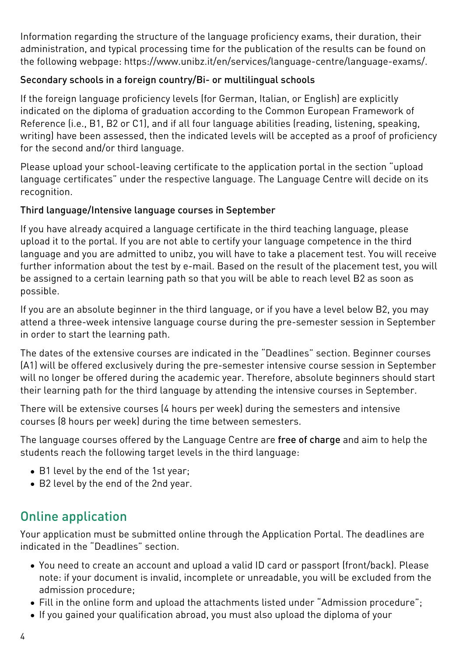Information regarding the structure of the language proficiency exams, their duration, their administration, and typical processing time for the publication of the results can be found on the following webpage: <https://www.unibz.it/en/services/language-centre/language-exams/>.

### Secondary schools in a foreign country/Bi- or multilingual schools

If the foreign language proficiency levels (for German, Italian, or English) are explicitly indicated on the diploma of graduation according to the Common European Framework of Reference (i.e., B1, B2 or C1), and if all four language abilities (reading, listening, speaking, writing) have been assessed, then the indicated levels will be accepted as a proof of proficiency for the second and/or third language.

Please upload your school-leaving certificate to the application portal in the section "upload language certificates" under the respective language. The Language Centre will decide on its recognition.

### Third language/Intensive language courses in September

If you have already acquired a language certificate in the third teaching language, please upload it to the portal. If you are not able to certify your language competence in the third language and you are admitted to unibz, you will have to take a placement test. You will receive further information about the test by e-mail. Based on the result of the placement test, you will be assigned to a certain learning path so that you will be able to reach level B2 as soon as possible.

If you are an absolute beginner in the third language, or if you have a level below B2, you may attend a three-week intensive language course during the pre-semester session in September in order to start the learning path.

The dates of the extensive courses are indicated in the "Deadlines" section. Beginner courses (A1) will be offered exclusively during the pre-semester intensive course session in September will no longer be offered during the academic year. Therefore, absolute beginners should start their learning path for the third language by attending the intensive courses in September.

There will be extensive courses (4 hours per week) during the semesters and intensive courses (8 hours per week) during the time between semesters.

The language courses offered by the Language Centre are free of charge and aim to help the students reach the following target levels in the third language:

- B1 level by the end of the 1st year:
- B2 level by the end of the 2nd year.

# Online application

Your application must be submitted online through the [Application Portal](https://aws.unibz.it/exup/). The deadlines are indicated in the "Deadlines" section.

- You need to create an account and upload a valid ID card or passport (front/back). Please note: if your document is invalid, incomplete or unreadable, you will be excluded from the admission procedure;
- Fill in the online form and upload the attachments listed under "Admission procedure";
- If you gained your qualification abroad, you must also upload the diploma of your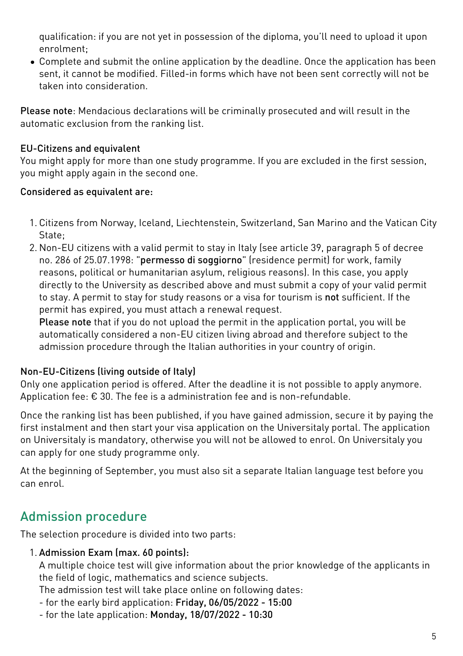qualification: if you are not yet in possession of the diploma, you'll need to upload it upon enrolment;

Complete and submit the online application by the deadline. Once the application has been sent, it cannot be modified. Filled-in forms which have not been sent correctly will not be taken into consideration.

Please note: Mendacious declarations will be criminally prosecuted and will result in the automatic exclusion from the ranking list.

### EU-Citizens and equivalent

You might apply for more than one study programme. If you are excluded in the first session, you might apply again in the second one.

#### Considered as equivalent are:

- 1. Citizens from Norway, Iceland, Liechtenstein, Switzerland, San Marino and the Vatican City State;
- 2. Non-EU citizens with a valid permit to stay in Italy (see article 39, paragraph 5 of decree no. 286 of 25.07.1998: "permesso di soggiorno" (residence permit) for work, family reasons, political or humanitarian asylum, religious reasons). In this case, you apply directly to the University as described above and must submit a copy of your valid permit to stay. A permit to stay for study reasons or a visa for tourism is not sufficient. If the permit has expired, you must attach a renewal request.

Please note that if you do not upload the permit in the application portal, you will be automatically considered a non-EU citizen living abroad and therefore subject to the admission procedure through the Italian authorities in your country of origin.

#### Non-EU-Citizens (living outside of Italy)

Only one application period is offered. After the deadline it is not possible to apply anymore. Application fee: € 30. The fee is a administration fee and is non-refundable.

Once the ranking list has been published, if you have gained admission, secure it by paying the first instalment and then start your visa application on the [Universitaly portal.](https://www.universitaly.it/index.php/) The application on Universitaly is mandatory, otherwise you will not be allowed to enrol. On Universitaly you can apply for one study programme only.

At the beginning of September, you must also sit a separate Italian language test before you can enrol.

## Admission procedure

The selection procedure is divided into two parts:

#### 1. Admission Exam (max. 60 points):

A multiple choice test will give information about the prior knowledge of the applicants in the field of logic, mathematics and science subjects.

The admission test will take place online on following dates:

- for the early bird application: Friday, 06/05/2022 15:00
- for the late application: Monday, 18/07/2022 10:30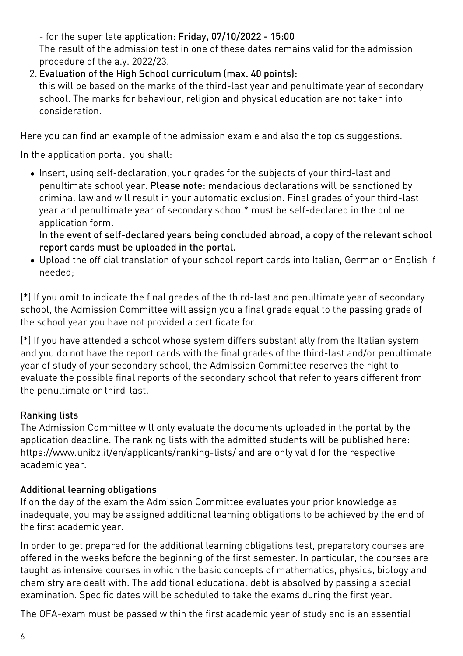- for the super late application: Friday, 07/10/2022 - 15:00 The result of the admission test in one of these dates remains valid for the admission procedure of the a.y. 2022/23.

2. Evaluation of the High School curriculum (max. 40 points):

this will be based on the marks of the third-last year and penultimate year of secondary school. The marks for behaviour, religion and physical education are not taken into consideration.

Here you can find an [example of the admission exam](https://www.unibz.it/assets/Documents/Faculty-Scitech/Admission-Exams/2020-04-06-Admission-Test-ENG-WOOD_2019.pdf) e and also the [topics suggestions.](https://www.unibz.it/assets/Documents/Faculty-Scitech/2022-04-21-LP03-Topics-Guidelines-for-the-Admission-Test.pdf)

In the application portal, you shall:

Insert, using self-declaration, your grades for the subjects of your third-last and penultimate school year. Please note: mendacious declarations will be sanctioned by criminal law and will result in your automatic exclusion. Final grades of your third-last year and penultimate year of secondary school\* must be self-declared in the online application form.

In the event of self-declared years being concluded abroad, a copy of the relevant school report cards must be uploaded in the portal.

Upload the official translation of your school report cards into Italian, German or English if needed;

(\*) If you omit to indicate the final grades of the third-last and penultimate year of secondary school, the Admission Committee will assign you a final grade equal to the passing grade of the school year you have not provided a certificate for.

(\*) If you have attended a school whose system differs substantially from the Italian system and you do not have the report cards with the final grades of the third-last and/or penultimate year of study of your secondary school, the Admission Committee reserves the right to evaluate the possible final reports of the secondary school that refer to years different from the penultimate or third-last.

## Ranking lists

The Admission Committee will only evaluate the documents uploaded in the portal by the application deadline. The ranking lists with the admitted students will be published here: <https://www.unibz.it/en/applicants/ranking-lists/> and are only valid for the respective academic year.

## Additional learning obligations

If on the day of the exam the Admission Committee evaluates your prior knowledge as inadequate, you may be assigned additional learning obligations to be achieved by the end of the first academic year.

In order to get prepared for the additional learning obligations test, preparatory courses are offered in the weeks before the beginning of the first semester. In particular, the courses are taught as intensive courses in which the basic concepts of mathematics, physics, biology and chemistry are dealt with. The additional educational debt is absolved by passing a special examination. Specific dates will be scheduled to take the exams during the first year.

The OFA-exam must be passed within the first academic year of study and is an essential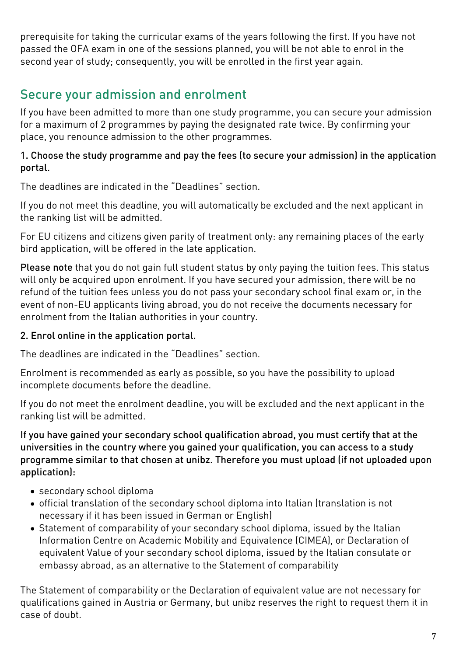prerequisite for taking the curricular exams of the years following the first. If you have not passed the OFA exam in one of the sessions planned, you will be not able to enrol in the second year of study; consequently, you will be enrolled in the first year again.

# Secure your admission and enrolment

If you have been admitted to more than one study programme, you can secure your admission for a maximum of 2 programmes by paying the designated rate twice. By confirming your place, you renounce admission to the other programmes.

#### 1. Choose the study programme and pay the fees (to secure your admission) in the application portal.

The deadlines are indicated in the "Deadlines" section.

If you do not meet this deadline, you will automatically be excluded and the next applicant in the ranking list will be admitted.

For EU citizens and citizens given parity of treatment only: any remaining places of the early bird application, will be offered in the late application.

Please note that you do not gain full student status by only paying the tuition fees. This status will only be acquired upon enrolment. If you have secured your admission, there will be no refund of the tuition fees unless you do not pass your secondary school final exam or, in the event of non-EU applicants living abroad, you do not receive the documents necessary for enrolment from the Italian authorities in your country.

## 2. Enrol online in the application portal.

The deadlines are indicated in the "Deadlines" section.

Enrolment is recommended as early as possible, so you have the possibility to upload incomplete documents before the deadline.

If you do not meet the enrolment deadline, you will be excluded and the next applicant in the ranking list will be admitted.

If you have gained your secondary school qualification abroad, you must certify that at the universities in the country where you gained your qualification, you can access to a study programme similar to that chosen at unibz. Therefore you must upload (if not uploaded upon application):

- secondary school diploma
- official translation of the secondary school diploma into Italian (translation is not necessary if it has been issued in German or English)
- [Statement of comparability](https://www.cimea.it/EN/pagina-attestati-di-comparabilita-e-verifica-dei-titoli) of your secondary school diploma, issued by the Italian Information Centre on Academic Mobility and Equivalence (CIMEA), or Declaration of equivalent Value of your secondary school diploma, issued by the Italian consulate or embassy abroad, as an alternative to the Statement of comparability

The Statement of comparability or the Declaration of equivalent value are not necessary for qualifications gained in Austria or Germany, but unibz reserves the right to request them it in case of doubt.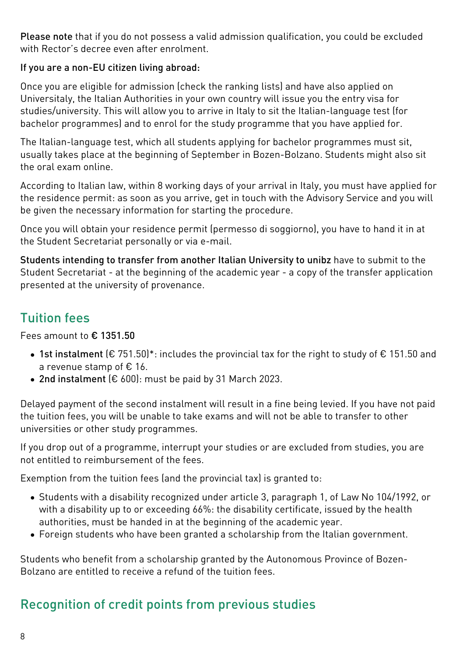Please note that if you do not possess a valid admission qualification, you could be excluded with Rector's decree even after enrolment

#### If you are a non-EU citizen living abroad:

Once you are eligible for admission (check the ranking lists) and have also applied on [Universitaly,](https://www.universitaly.it/index.php/) the Italian Authorities in your own country will issue you the entry visa for studies/university. This will allow you to arrive in Italy to sit the Italian-language test (for bachelor programmes) and to enrol for the study programme that you have applied for.

The Italian-language test, which all students applying for bachelor programmes must sit, usually takes place at the beginning of September in Bozen-Bolzano. Students might also sit the oral exam online.

According to Italian law, within 8 working days of your arrival in Italy, you must have applied for the residence permit: as soon as you arrive, get in touch with the Advisory Service and you will be given the necessary information for starting the procedure.

Once you will obtain your residence permit (permesso di soggiorno), you have to hand it in at the Student Secretariat personally or via e-mail.

Students intending to transfer from another Italian University to unibz have to submit to the Student Secretariat - at the beginning of the academic year - a copy of the transfer application presented at the university of provenance.

## Tuition fees

Fees amount to € 1351.50

- 1st instalment (€ 751.50)\*: includes the provincial tax for the right to study of € 151.50 and a revenue stamp of € 16.
- 2nd instalment (€ 600): must be paid by 31 March 2023.

Delayed payment of the second instalment will result in a fine being levied. If you have not paid the tuition fees, you will be unable to take exams and will not be able to transfer to other universities or other study programmes.

If you drop out of a programme, interrupt your studies or are excluded from studies, you are not entitled to reimbursement of the fees.

Exemption from the tuition fees (and the provincial tax) is granted to:

- Students with a disability recognized under article 3, paragraph 1, of Law No 104/1992, or with a disability up to or exceeding 66%: the disability certificate, issued by the health authorities, must be handed in at the beginning of the academic year.
- Foreign students who have been granted a scholarship from the Italian government.

Students who benefit from a scholarship granted by the Autonomous Province of Bozen-Bolzano are entitled to receive a refund of the tuition fees.

# Recognition of credit points from previous studies